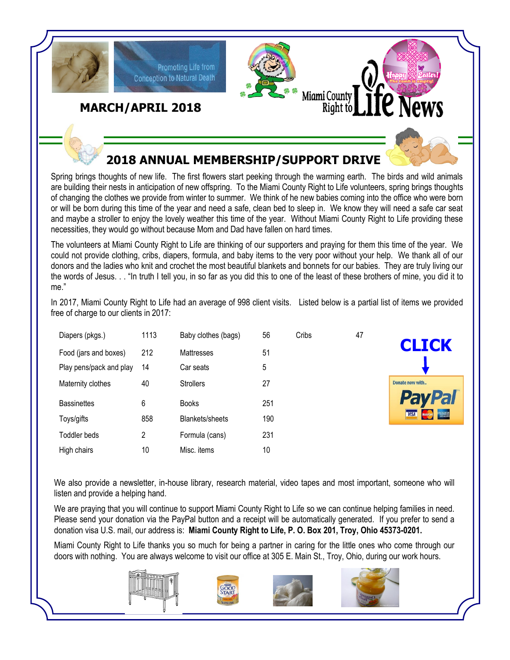

Spring brings thoughts of new life. The first flowers start peeking through the warming earth. The birds and wild animals are building their nests in anticipation of new offspring. To the Miami County Right to Life volunteers, spring brings thoughts of changing the clothes we provide from winter to summer. We think of he new babies coming into the office who were born or will be born during this time of the year and need a safe, clean bed to sleep in. We know they will need a safe car seat and maybe a stroller to enjoy the lovely weather this time of the year. Without Miami County Right to Life providing these necessities, they would go without because Mom and Dad have fallen on hard times.

The volunteers at Miami County Right to Life are thinking of our supporters and praying for them this time of the year. We could not provide clothing, cribs, diapers, formula, and baby items to the very poor without your help. We thank all of our donors and the ladies who knit and crochet the most beautiful blankets and bonnets for our babies. They are truly living our the words of Jesus. . . "In truth I tell you, in so far as you did this to one of the least of these brothers of mine, you did it to me."

In 2017, Miami County Right to Life had an average of 998 client visits. Listed below is a partial list of items we provided

| Diapers (pkgs.)         | 1113 | Baby clothes (bags) | 56  | Cribs | 47 |
|-------------------------|------|---------------------|-----|-------|----|
| Food (jars and boxes)   | 212  | Mattresses          | 51  |       |    |
| Play pens/pack and play | 14   | Car seats           | 5   |       |    |
| Maternity clothes       | 40   | <b>Strollers</b>    | 27  |       |    |
| <b>Bassinettes</b>      | 6    | <b>Books</b>        | 251 |       |    |
| Toys/gifts              | 858  | Blankets/sheets     | 190 |       |    |
| Toddler beds            | 2    | Formula (cans)      | 231 |       |    |
| High chairs             | 10   | Misc. items         | 10  |       |    |

free of charge to our clients in 2017:



We also provide a newsletter, in-house library, research material, video tapes and most important, someone who will listen and provide a helping hand.

We are praying that you will continue to support Miami County Right to Life so we can continue helping families in need. Please send your donation via the PayPal button and a receipt will be automatically generated. If you prefer to send a donation visa U.S. mail, our address is: **Miami County Right to Life, P. O. Box 201, Troy, Ohio 45373-0201.**

Miami County Right to Life thanks you so much for being a partner in caring for the little ones who come through our doors with nothing. You are always welcome to visit our office at 305 E. Main St., Troy, Ohio, during our work hours.







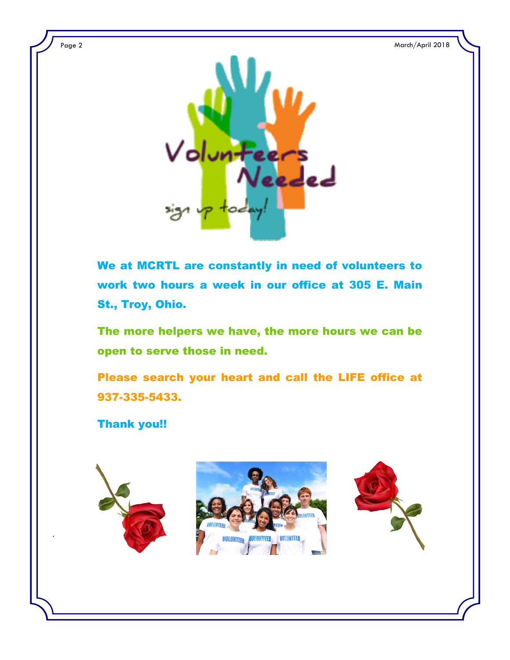

We at MCRTL are constantly in need of volunteers to work two hours a week in our office at 305 E. Main St., Troy, Ohio.

The more helpers we have, the more hours we can be open to serve those in need.

Please search your heart and call the LIFE office at 937-335-5433.

Thank you!!



.



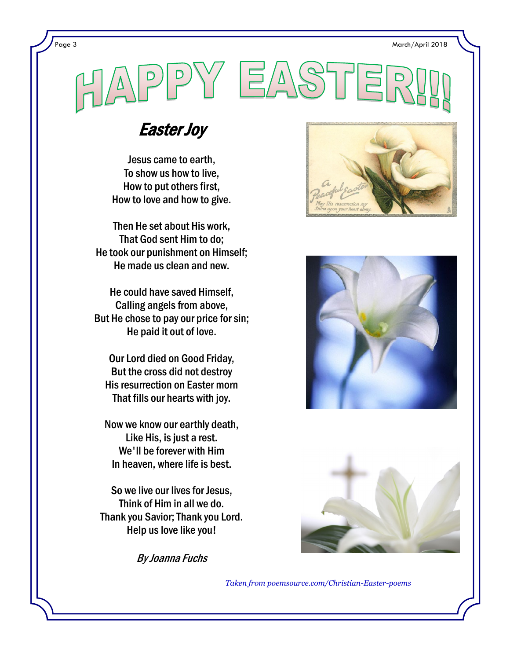Page 3 March/April 2018

## $\Delta'$

## Easter Joy

Jesus came to earth, To show us how to live, How to put others first, How to love and how to give.

Then He set about His work, That God sent Him to do; He took our punishment on Himself; He made us clean and new.

He could have saved Himself, Calling angels from above, But He chose to pay our price for sin; He paid it out of love.

Our Lord died on Good Friday, But the cross did not destroy His resurrection on Easter morn That fills our hearts with joy.

Now we know our earthly death, Like His, is just a rest. We'll be forever with Him In heaven, where life is best.

So we live our lives for Jesus, Think of Him in all we do. Thank you Savior; Thank you Lord. Help us love like you!

By Joanna Fuchs







*Taken from poemsource.com/Christian-Easter-poems*